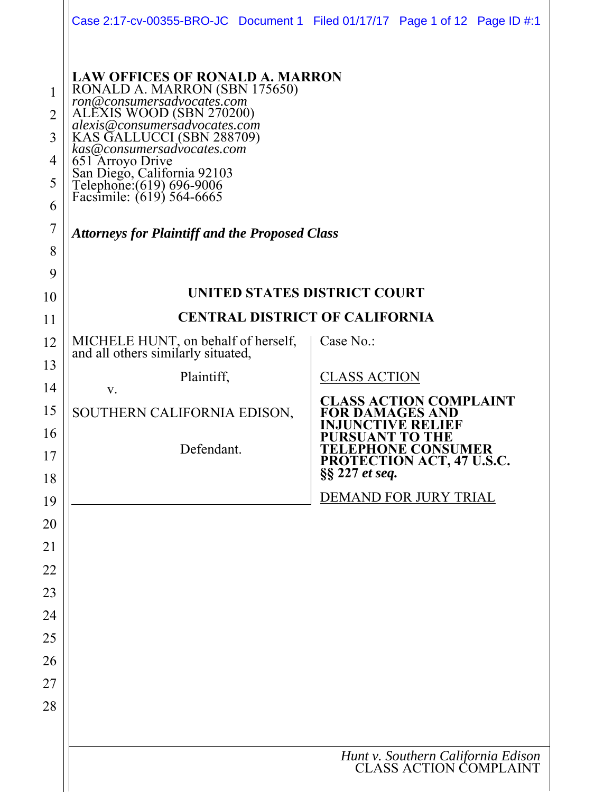|                                         | Case 2:17-cv-00355-BRO-JC Document 1 Filed 01/17/17 Page 1 of 12 Page ID #:1                                                                                                                                                                                                                                                              |                                                                           |
|-----------------------------------------|-------------------------------------------------------------------------------------------------------------------------------------------------------------------------------------------------------------------------------------------------------------------------------------------------------------------------------------------|---------------------------------------------------------------------------|
| 1<br>$\overline{2}$<br>3<br>4<br>5<br>6 | <b>LAW OFFICES OF RONALD A. MARRON</b><br>RONALD A. MARRON (SBN 175650)<br>ron@consumersadvocates.com<br>ALEXIS WOOD (SBN 270200)<br>alexis@consumersadvocates.com<br>KAS GALLUCCI (SBN 288709)<br>kas@consumersadvocates.com<br>651 Arroyo Drive<br>San Diego, California 92103<br>Telephone:(619) 696-9006<br>Facsimile: (619) 564-6665 |                                                                           |
| $\overline{7}$                          | <b>Attorneys for Plaintiff and the Proposed Class</b>                                                                                                                                                                                                                                                                                     |                                                                           |
| 8                                       |                                                                                                                                                                                                                                                                                                                                           |                                                                           |
| 9<br>10                                 | <b>UNITED STATES DISTRICT COURT</b>                                                                                                                                                                                                                                                                                                       |                                                                           |
| 11                                      | <b>CENTRAL DISTRICT OF CALIFORNIA</b>                                                                                                                                                                                                                                                                                                     |                                                                           |
| 12                                      | MICHELE HUNT, on behalf of herself,                                                                                                                                                                                                                                                                                                       | Case No.:                                                                 |
| 13                                      | and all others similarly situated,                                                                                                                                                                                                                                                                                                        |                                                                           |
| 14                                      | Plaintiff,<br>V.                                                                                                                                                                                                                                                                                                                          | <b>CLASS ACTION</b>                                                       |
| 15                                      | SOUTHERN CALIFORNIA EDISON,                                                                                                                                                                                                                                                                                                               | <b>CLASS ACTION COMPLAINT</b><br>FOR DAMAGES AND                          |
| 16                                      |                                                                                                                                                                                                                                                                                                                                           | VE REI<br>PURSUANT TO THE                                                 |
| 17                                      | Defendant.                                                                                                                                                                                                                                                                                                                                | <b>TELEPHONE CONSUMER<br/>PROTECTION ACT, 47 U.S.C.</b><br>§§ 227 et seq. |
| 18                                      |                                                                                                                                                                                                                                                                                                                                           | DEMAND FOR JURY TRIAL                                                     |
| 19<br>20                                |                                                                                                                                                                                                                                                                                                                                           |                                                                           |
| 21                                      |                                                                                                                                                                                                                                                                                                                                           |                                                                           |
| 22                                      |                                                                                                                                                                                                                                                                                                                                           |                                                                           |
| 23                                      |                                                                                                                                                                                                                                                                                                                                           |                                                                           |
| 24                                      |                                                                                                                                                                                                                                                                                                                                           |                                                                           |
| 25                                      |                                                                                                                                                                                                                                                                                                                                           |                                                                           |
| 26                                      |                                                                                                                                                                                                                                                                                                                                           |                                                                           |
| 27                                      |                                                                                                                                                                                                                                                                                                                                           |                                                                           |
| 28                                      |                                                                                                                                                                                                                                                                                                                                           |                                                                           |
|                                         |                                                                                                                                                                                                                                                                                                                                           |                                                                           |
|                                         |                                                                                                                                                                                                                                                                                                                                           | Hunt v. Southern California Edison<br>CLASS ACTION COMPLAINT              |
|                                         |                                                                                                                                                                                                                                                                                                                                           |                                                                           |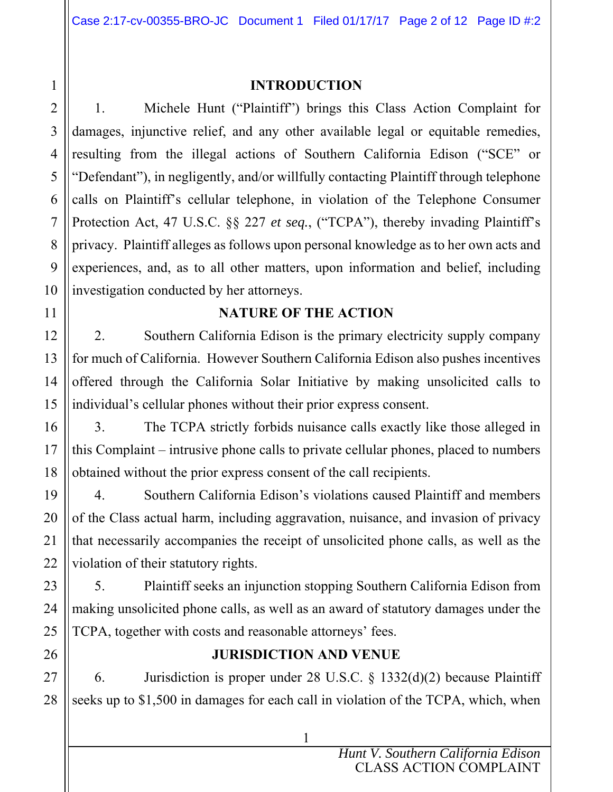### **INTRODUCTION**

1. Michele Hunt ("Plaintiff") brings this Class Action Complaint for damages, injunctive relief, and any other available legal or equitable remedies, resulting from the illegal actions of Southern California Edison ("SCE" or "Defendant"), in negligently, and/or willfully contacting Plaintiff through telephone calls on Plaintiff's cellular telephone, in violation of the Telephone Consumer Protection Act, 47 U.S.C. §§ 227 *et seq.*, ("TCPA"), thereby invading Plaintiff's privacy. Plaintiff alleges as follows upon personal knowledge as to her own acts and experiences, and, as to all other matters, upon information and belief, including investigation conducted by her attorneys.

### **NATURE OF THE ACTION**

2. Southern California Edison is the primary electricity supply company for much of California. However Southern California Edison also pushes incentives offered through the California Solar Initiative by making unsolicited calls to individual's cellular phones without their prior express consent.

3. The TCPA strictly forbids nuisance calls exactly like those alleged in this Complaint – intrusive phone calls to private cellular phones, placed to numbers obtained without the prior express consent of the call recipients.

4. Southern California Edison's violations caused Plaintiff and members of the Class actual harm, including aggravation, nuisance, and invasion of privacy that necessarily accompanies the receipt of unsolicited phone calls, as well as the violation of their statutory rights.

5. Plaintiff seeks an injunction stopping Southern California Edison from making unsolicited phone calls, as well as an award of statutory damages under the TCPA, together with costs and reasonable attorneys' fees.

### **JURISDICTION AND VENUE**

6. Jurisdiction is proper under 28 U.S.C. § 1332(d)(2) because Plaintiff seeks up to \$1,500 in damages for each call in violation of the TCPA, which, when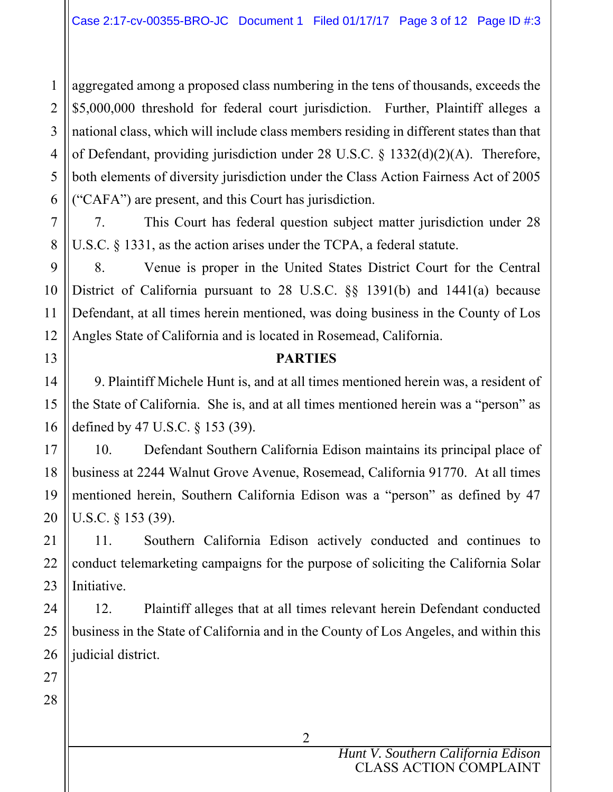1 2 3 4 5 6 aggregated among a proposed class numbering in the tens of thousands, exceeds the \$5,000,000 threshold for federal court jurisdiction. Further, Plaintiff alleges a national class, which will include class members residing in different states than that of Defendant, providing jurisdiction under 28 U.S.C. § 1332(d)(2)(A). Therefore, both elements of diversity jurisdiction under the Class Action Fairness Act of 2005 ("CAFA") are present, and this Court has jurisdiction.

7. This Court has federal question subject matter jurisdiction under 28 U.S.C. § 1331, as the action arises under the TCPA, a federal statute.

8. Venue is proper in the United States District Court for the Central District of California pursuant to 28 U.S.C. §§ 1391(b) and 1441(a) because Defendant, at all times herein mentioned, was doing business in the County of Los Angles State of California and is located in Rosemead, California.

### **PARTIES**

9. Plaintiff Michele Hunt is, and at all times mentioned herein was, a resident of the State of California. She is, and at all times mentioned herein was a "person" as defined by 47 U.S.C. § 153 (39).

10. Defendant Southern California Edison maintains its principal place of business at 2244 Walnut Grove Avenue, Rosemead, California 91770. At all times mentioned herein, Southern California Edison was a "person" as defined by 47 U.S.C. § 153 (39).

11. Southern California Edison actively conducted and continues to conduct telemarketing campaigns for the purpose of soliciting the California Solar Initiative.

12. Plaintiff alleges that at all times relevant herein Defendant conducted business in the State of California and in the County of Los Angeles, and within this judicial district.

7

8

9

10

11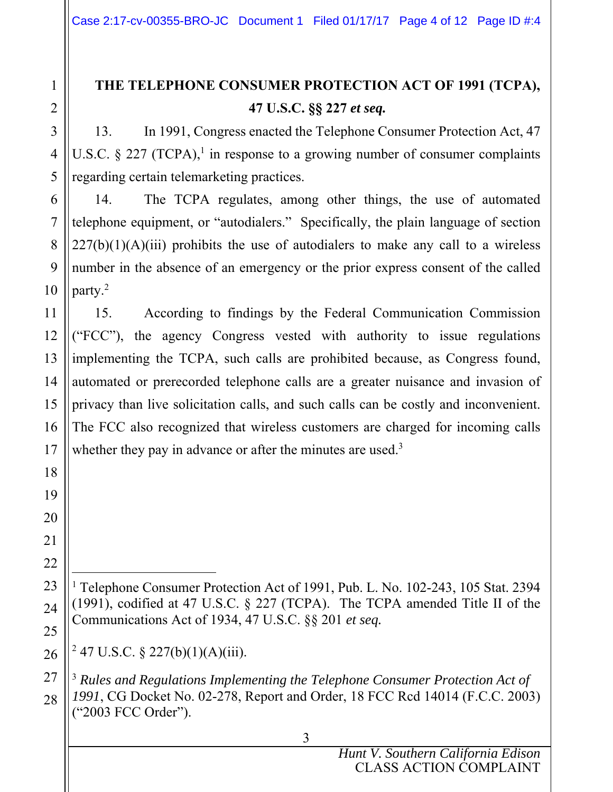# **THE TELEPHONE CONSUMER PROTECTION ACT OF 1991 (TCPA), 47 U.S.C. §§ 227** *et seq.*

13. In 1991, Congress enacted the Telephone Consumer Protection Act, 47 U.S.C. § 227 (TCPA),<sup>1</sup> in response to a growing number of consumer complaints regarding certain telemarketing practices.

14. The TCPA regulates, among other things, the use of automated telephone equipment, or "autodialers." Specifically, the plain language of section  $227(b)(1)(A)(iii)$  prohibits the use of autodialers to make any call to a wireless number in the absence of an emergency or the prior express consent of the called party.2

15. According to findings by the Federal Communication Commission ("FCC"), the agency Congress vested with authority to issue regulations implementing the TCPA, such calls are prohibited because, as Congress found, automated or prerecorded telephone calls are a greater nuisance and invasion of privacy than live solicitation calls, and such calls can be costly and inconvenient. The FCC also recognized that wireless customers are charged for incoming calls whether they pay in advance or after the minutes are used.<sup>3</sup>

 $\overline{a}$ <sup>1</sup> Telephone Consumer Protection Act of 1991, Pub. L. No. 102-243, 105 Stat. 2394 (1991), codified at 47 U.S.C. § 227 (TCPA). The TCPA amended Title II of the Communications Act of 1934, 47 U.S.C. §§ 201 *et seq.* 

<sup>2</sup> 47 U.S.C. § 227(b)(1)(A)(iii).

<sup>3</sup> *Rules and Regulations Implementing the Telephone Consumer Protection Act of 1991*, CG Docket No. 02-278, Report and Order, 18 FCC Rcd 14014 (F.C.C. 2003) ("2003 FCC Order").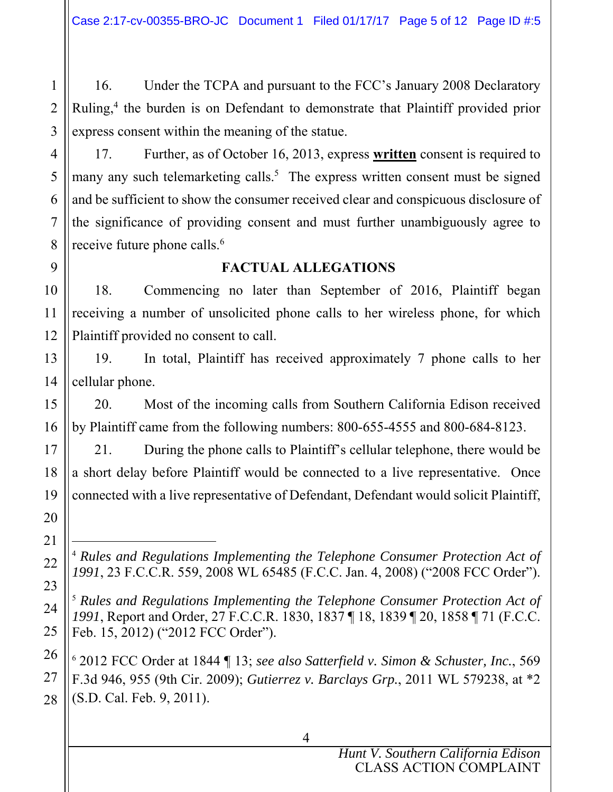16. Under the TCPA and pursuant to the FCC's January 2008 Declaratory Ruling,<sup>4</sup> the burden is on Defendant to demonstrate that Plaintiff provided prior express consent within the meaning of the statue.

1

2

3

4

5

6

7

8

9

10

11

12

13

14

15

16

17

18

19

20

21

22

23

24

25

26

27

28

17. Further, as of October 16, 2013, express **written** consent is required to many any such telemarketing calls.<sup>5</sup> The express written consent must be signed and be sufficient to show the consumer received clear and conspicuous disclosure of the significance of providing consent and must further unambiguously agree to receive future phone calls.<sup>6</sup>

### **FACTUAL ALLEGATIONS**

18. Commencing no later than September of 2016, Plaintiff began receiving a number of unsolicited phone calls to her wireless phone, for which Plaintiff provided no consent to call.

19. In total, Plaintiff has received approximately 7 phone calls to her cellular phone.

20. Most of the incoming calls from Southern California Edison received by Plaintiff came from the following numbers: 800-655-4555 and 800-684-8123.

21. During the phone calls to Plaintiff's cellular telephone, there would be a short delay before Plaintiff would be connected to a live representative. Once connected with a live representative of Defendant, Defendant would solicit Plaintiff,

 $\overline{a}$ <sup>4</sup> *Rules and Regulations Implementing the Telephone Consumer Protection Act of 1991*, 23 F.C.C.R. 559, 2008 WL 65485 (F.C.C. Jan. 4, 2008) ("2008 FCC Order").

<sup>5</sup> *Rules and Regulations Implementing the Telephone Consumer Protection Act of 1991*, Report and Order, 27 F.C.C.R. 1830, 1837 ¶ 18, 1839 ¶ 20, 1858 ¶ 71 (F.C.C. Feb. 15, 2012) ("2012 FCC Order").

<sup>6</sup> 2012 FCC Order at 1844 ¶ 13; *see also Satterfield v. Simon & Schuster, Inc.*, 569 F.3d 946, 955 (9th Cir. 2009); *Gutierrez v. Barclays Grp.*, 2011 WL 579238, at \*2 (S.D. Cal. Feb. 9, 2011).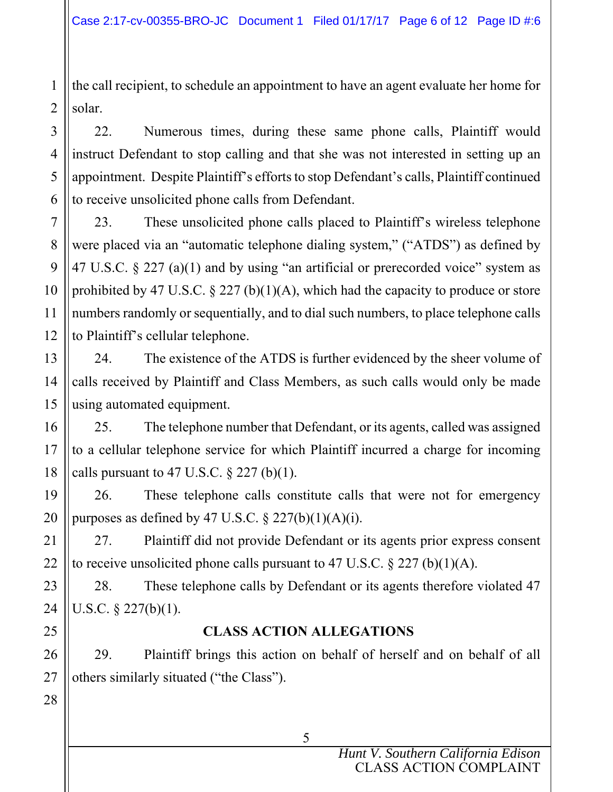the call recipient, to schedule an appointment to have an agent evaluate her home for solar.

1

2

3

4

5

6

7

8

9

10

11

12

13

14

15

16

17

18

21

22

23

24

25

26

27

28

22. Numerous times, during these same phone calls, Plaintiff would instruct Defendant to stop calling and that she was not interested in setting up an appointment. Despite Plaintiff's efforts to stop Defendant's calls, Plaintiff continued to receive unsolicited phone calls from Defendant.

23. These unsolicited phone calls placed to Plaintiff's wireless telephone were placed via an "automatic telephone dialing system," ("ATDS") as defined by 47 U.S.C. § 227 (a)(1) and by using "an artificial or prerecorded voice" system as prohibited by 47 U.S.C. § 227 (b)(1)(A), which had the capacity to produce or store numbers randomly or sequentially, and to dial such numbers, to place telephone calls to Plaintiff's cellular telephone.

24. The existence of the ATDS is further evidenced by the sheer volume of calls received by Plaintiff and Class Members, as such calls would only be made using automated equipment.

25. The telephone number that Defendant, or its agents, called was assigned to a cellular telephone service for which Plaintiff incurred a charge for incoming calls pursuant to 47 U.S.C.  $\S 227$  (b)(1).

19 20 26. These telephone calls constitute calls that were not for emergency purposes as defined by 47 U.S.C.  $\S 227(b)(1)(A)(i)$ .

27. Plaintiff did not provide Defendant or its agents prior express consent to receive unsolicited phone calls pursuant to 47 U.S.C.  $\S 227$  (b)(1)(A).

28. These telephone calls by Defendant or its agents therefore violated 47 U.S.C. § 227(b)(1).

### **CLASS ACTION ALLEGATIONS**

29. Plaintiff brings this action on behalf of herself and on behalf of all others similarly situated ("the Class").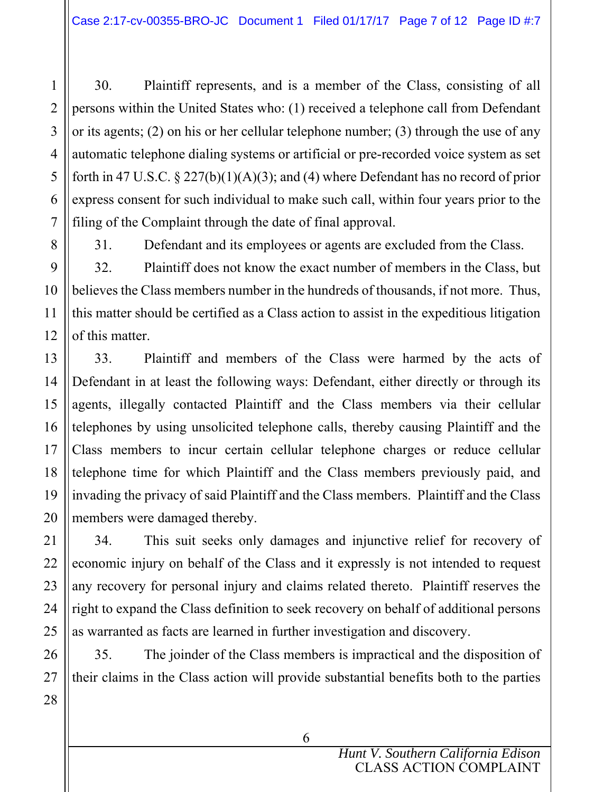30. Plaintiff represents, and is a member of the Class, consisting of all persons within the United States who: (1) received a telephone call from Defendant or its agents; (2) on his or her cellular telephone number; (3) through the use of any automatic telephone dialing systems or artificial or pre-recorded voice system as set forth in 47 U.S.C.  $\S 227(b)(1)(A)(3)$ ; and (4) where Defendant has no record of prior express consent for such individual to make such call, within four years prior to the filing of the Complaint through the date of final approval.

1

2

3

4

5

6

7

8

9

10

11

12

13

14

15

16

17

18

31. Defendant and its employees or agents are excluded from the Class.

32. Plaintiff does not know the exact number of members in the Class, but believes the Class members number in the hundreds of thousands, if not more. Thus, this matter should be certified as a Class action to assist in the expeditious litigation of this matter.

33. Plaintiff and members of the Class were harmed by the acts of Defendant in at least the following ways: Defendant, either directly or through its agents, illegally contacted Plaintiff and the Class members via their cellular telephones by using unsolicited telephone calls, thereby causing Plaintiff and the Class members to incur certain cellular telephone charges or reduce cellular telephone time for which Plaintiff and the Class members previously paid, and invading the privacy of said Plaintiff and the Class members. Plaintiff and the Class members were damaged thereby.

34. This suit seeks only damages and injunctive relief for recovery of economic injury on behalf of the Class and it expressly is not intended to request any recovery for personal injury and claims related thereto. Plaintiff reserves the right to expand the Class definition to seek recovery on behalf of additional persons as warranted as facts are learned in further investigation and discovery.

35. The joinder of the Class members is impractical and the disposition of their claims in the Class action will provide substantial benefits both to the parties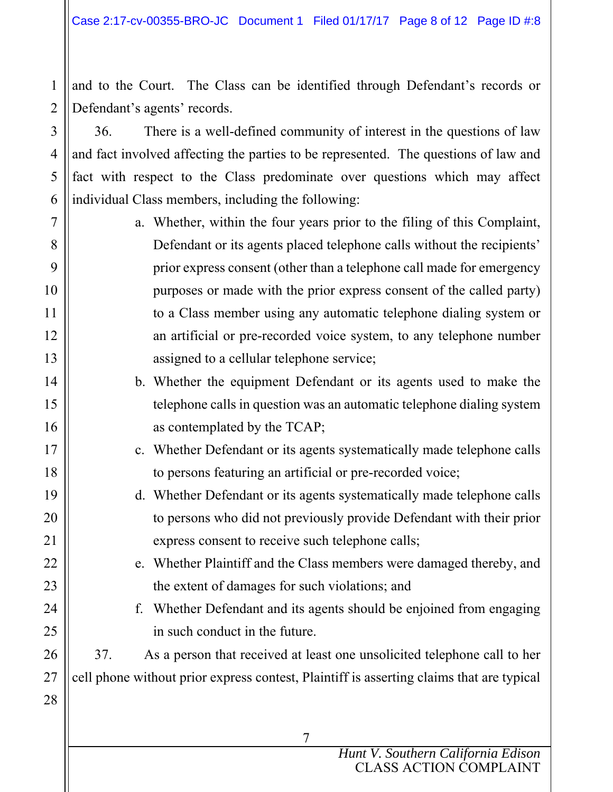1 2 and to the Court. The Class can be identified through Defendant's records or Defendant's agents' records.

3

4

5

6

7

8

9

10

11

12

13

14

15

16

17

18

19

20

21

22

23

24

25

26

27

28

36. There is a well-defined community of interest in the questions of law and fact involved affecting the parties to be represented. The questions of law and fact with respect to the Class predominate over questions which may affect individual Class members, including the following:

- a. Whether, within the four years prior to the filing of this Complaint, Defendant or its agents placed telephone calls without the recipients' prior express consent (other than a telephone call made for emergency purposes or made with the prior express consent of the called party) to a Class member using any automatic telephone dialing system or an artificial or pre-recorded voice system, to any telephone number assigned to a cellular telephone service;
	- b. Whether the equipment Defendant or its agents used to make the telephone calls in question was an automatic telephone dialing system as contemplated by the TCAP;
	- c. Whether Defendant or its agents systematically made telephone calls to persons featuring an artificial or pre-recorded voice;
	- d. Whether Defendant or its agents systematically made telephone calls to persons who did not previously provide Defendant with their prior express consent to receive such telephone calls;
		- e. Whether Plaintiff and the Class members were damaged thereby, and the extent of damages for such violations; and
		- f. Whether Defendant and its agents should be enjoined from engaging in such conduct in the future.

37. As a person that received at least one unsolicited telephone call to her cell phone without prior express contest, Plaintiff is asserting claims that are typical

> *Hunt V. Southern California Edison*  CLASS ACTION COMPLAINT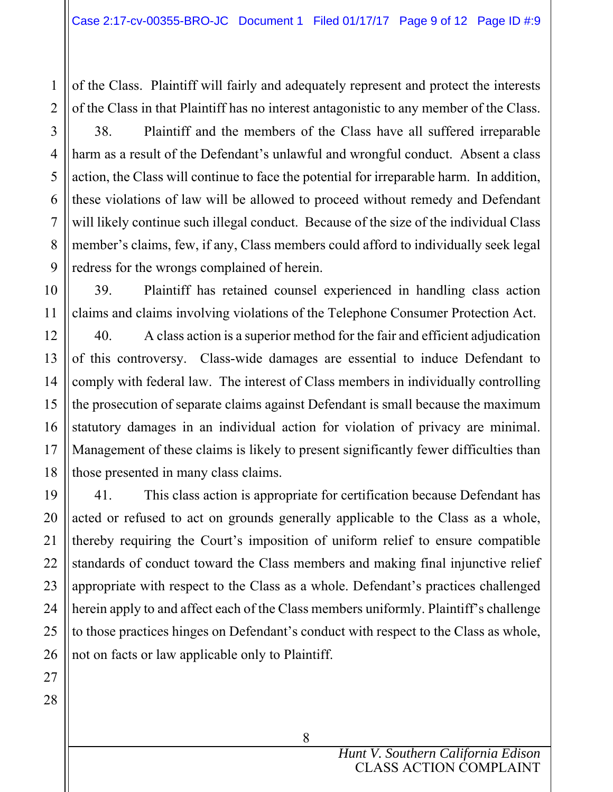of the Class. Plaintiff will fairly and adequately represent and protect the interests of the Class in that Plaintiff has no interest antagonistic to any member of the Class.

38. Plaintiff and the members of the Class have all suffered irreparable harm as a result of the Defendant's unlawful and wrongful conduct. Absent a class action, the Class will continue to face the potential for irreparable harm. In addition, these violations of law will be allowed to proceed without remedy and Defendant will likely continue such illegal conduct. Because of the size of the individual Class member's claims, few, if any, Class members could afford to individually seek legal redress for the wrongs complained of herein.

39. Plaintiff has retained counsel experienced in handling class action claims and claims involving violations of the Telephone Consumer Protection Act.

40. A class action is a superior method for the fair and efficient adjudication of this controversy. Class-wide damages are essential to induce Defendant to comply with federal law. The interest of Class members in individually controlling the prosecution of separate claims against Defendant is small because the maximum statutory damages in an individual action for violation of privacy are minimal. Management of these claims is likely to present significantly fewer difficulties than those presented in many class claims.

41. This class action is appropriate for certification because Defendant has acted or refused to act on grounds generally applicable to the Class as a whole, thereby requiring the Court's imposition of uniform relief to ensure compatible standards of conduct toward the Class members and making final injunctive relief appropriate with respect to the Class as a whole. Defendant's practices challenged herein apply to and affect each of the Class members uniformly. Plaintiff's challenge to those practices hinges on Defendant's conduct with respect to the Class as whole, not on facts or law applicable only to Plaintiff.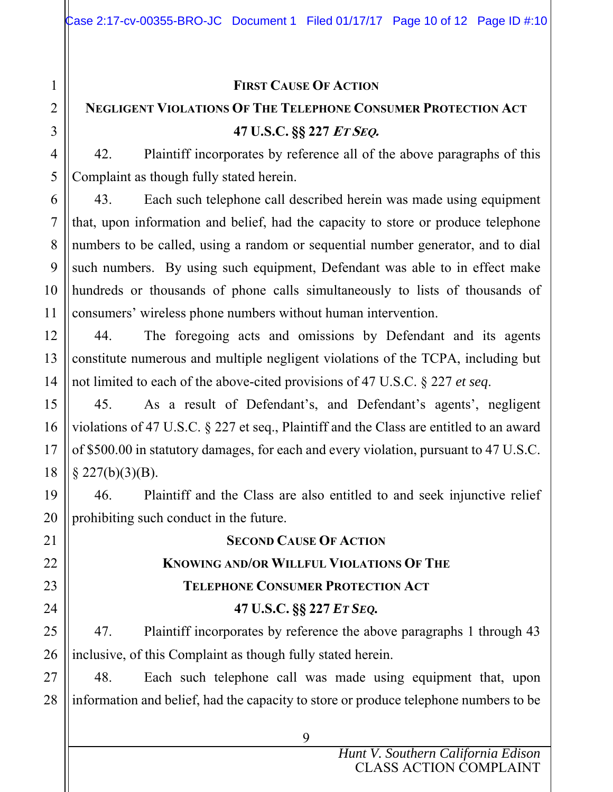# 1 2 3 4 5 6 7 8 9 10 11 12 13 14 15 16 17 18 19 20 21 22 23 24 25 26 27 28

### **FIRST CAUSE OF ACTION**

# **NEGLIGENT VIOLATIONS OF THE TELEPHONE CONSUMER PROTECTION ACT 47 U.S.C. §§ 227 <sup>E</sup>T SEQ.**

42. Plaintiff incorporates by reference all of the above paragraphs of this Complaint as though fully stated herein.

43. Each such telephone call described herein was made using equipment that, upon information and belief, had the capacity to store or produce telephone numbers to be called, using a random or sequential number generator, and to dial such numbers. By using such equipment, Defendant was able to in effect make hundreds or thousands of phone calls simultaneously to lists of thousands of consumers' wireless phone numbers without human intervention.

44. The foregoing acts and omissions by Defendant and its agents constitute numerous and multiple negligent violations of the TCPA, including but not limited to each of the above-cited provisions of 47 U.S.C. § 227 *et seq*.

45. As a result of Defendant's, and Defendant's agents', negligent violations of 47 U.S.C. § 227 et seq., Plaintiff and the Class are entitled to an award of \$500.00 in statutory damages, for each and every violation, pursuant to 47 U.S.C.  $§$  227(b)(3)(B).

46. Plaintiff and the Class are also entitled to and seek injunctive relief prohibiting such conduct in the future.

**SECOND CAUSE OF ACTION KNOWING AND/OR WILLFUL VIOLATIONS OF THE TELEPHONE CONSUMER PROTECTION ACT 47 U.S.C. §§ 227** *ET SEQ.*

47. Plaintiff incorporates by reference the above paragraphs 1 through 43 inclusive, of this Complaint as though fully stated herein.

48. Each such telephone call was made using equipment that, upon information and belief, had the capacity to store or produce telephone numbers to be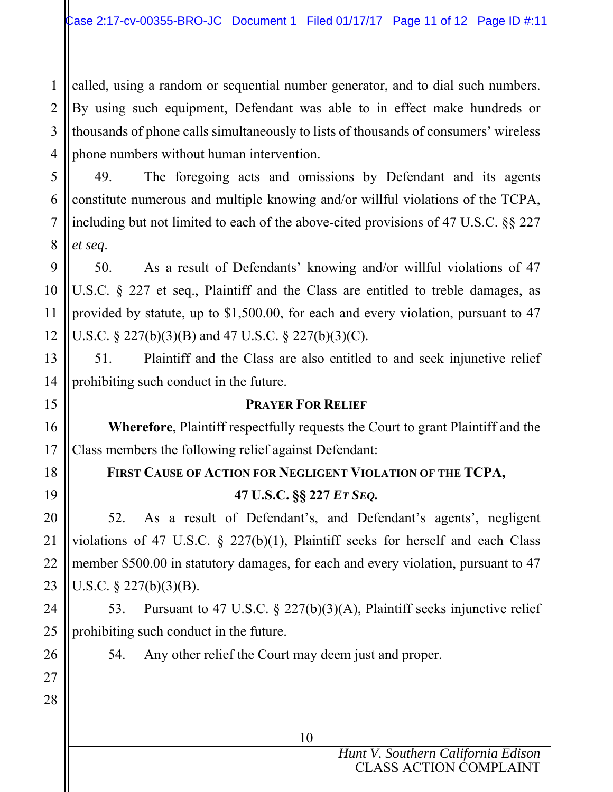1 2 3 4 called, using a random or sequential number generator, and to dial such numbers. By using such equipment, Defendant was able to in effect make hundreds or thousands of phone calls simultaneously to lists of thousands of consumers' wireless phone numbers without human intervention.

49. The foregoing acts and omissions by Defendant and its agents constitute numerous and multiple knowing and/or willful violations of the TCPA, including but not limited to each of the above-cited provisions of 47 U.S.C. §§ 227 *et seq*.

50. As a result of Defendants' knowing and/or willful violations of 47 U.S.C. § 227 et seq., Plaintiff and the Class are entitled to treble damages, as provided by statute, up to \$1,500.00, for each and every violation, pursuant to 47 U.S.C. § 227(b)(3)(B) and 47 U.S.C. § 227(b)(3)(C).

51. Plaintiff and the Class are also entitled to and seek injunctive relief prohibiting such conduct in the future.

### **PRAYER FOR RELIEF**

 **Wherefore**, Plaintiff respectfully requests the Court to grant Plaintiff and the Class members the following relief against Defendant:

# **FIRST CAUSE OF ACTION FOR NEGLIGENT VIOLATION OF THE TCPA, 47 U.S.C. §§ 227** *ET SEQ.*

52. As a result of Defendant's, and Defendant's agents', negligent violations of 47 U.S.C. § 227(b)(1), Plaintiff seeks for herself and each Class member \$500.00 in statutory damages, for each and every violation, pursuant to 47 U.S.C. § 227(b)(3)(B).

53. Pursuant to 47 U.S.C. § 227(b)(3)(A), Plaintiff seeks injunctive relief prohibiting such conduct in the future.

25 26 27

28

5

6

7

8

9

10

11

12

13

14

15

16

17

18

19

20

21

22

23

24

54. Any other relief the Court may deem just and proper.